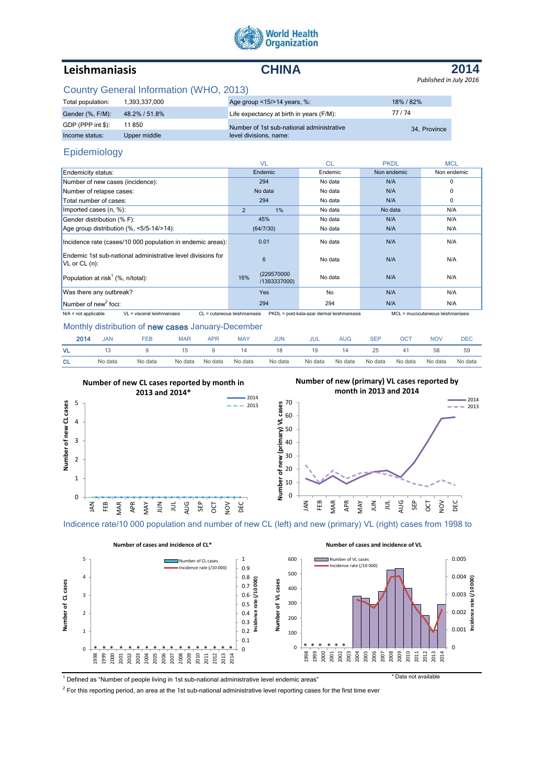

# **Leishmaniasis CHINA**

**2014** *Published in July 2016*

### Country General Information (WHO, 2013)

| Total population: | 1.393.337.000 | Age group $<15/>14$ years, %:             | 18% / 82%    |
|-------------------|---------------|-------------------------------------------|--------------|
| Gender (%, F/M):  | 48.2% / 51.8% | Life expectancy at birth in years (F/M):  | 77/74        |
| GDP (PPP int \$): | 11850         | Number of 1st sub-national administrative | 34. Province |
| Income status:    | Upper middle  | level divisions, name:                    |              |

## Epidemiology

|                                                                                   | <b>VL</b>                         | <b>CL</b>                                  | <b>PKDL</b> | <b>MCL</b>                        |
|-----------------------------------------------------------------------------------|-----------------------------------|--------------------------------------------|-------------|-----------------------------------|
| Endemicity status:                                                                | Endemic                           | Endemic                                    | Non endemic | Non endemic                       |
| Number of new cases (incidence):                                                  | 294                               | No data                                    | N/A         | 0                                 |
| Number of relapse cases:                                                          | No data                           | No data                                    | N/A         | 0                                 |
| Total number of cases:                                                            | 294                               | No data                                    | N/A         | 0                                 |
| Imported cases (n, %):                                                            | $\overline{2}$<br>1%              | No data                                    | No data     | N/A                               |
| Gender distribution (% F):                                                        | 45%                               | No data                                    | N/A         | N/A                               |
| Age group distribution (%, <5/5-14/>14):                                          | (64/7/30)                         | No data                                    | N/A         | N/A                               |
| Incidence rate (cases/10 000 population in endemic areas):                        | 0.01                              | No data                                    | N/A         | N/A                               |
| Endemic 1st sub-national administrative level divisions for<br>$V$ L or $CL$ (n): | 6                                 | No data                                    | N/A         | N/A                               |
| Population at risk <sup>1</sup> (%, n/total):                                     | (229570000<br>16%<br>/1393337000) | No data                                    | N/A         | N/A                               |
| Was there any outbreak?                                                           | Yes                               | No                                         | N/A         | N/A                               |
| Number of new <sup>2</sup> foci:                                                  | 294                               | 294                                        | N/A         | N/A                               |
| VL = visceral leishmaniasis<br>$N/A$ = not applicable                             | CL = cutaneous leishmaniasis      | PKDL = post-kala-azar dermal leishmaniasis |             | MCL = mucocutaneous leishmaniasis |

#### Monthly distribution of new cases January-December

| 2014      | <b>JAN</b> | FEB     | <b>MAR</b> | <b>APR</b> | <b>MAY</b> | <b>JUN</b> | JUL     | AUG     | <b>SEP</b> | OCT     | NOV     | <b>DEC</b> |
|-----------|------------|---------|------------|------------|------------|------------|---------|---------|------------|---------|---------|------------|
| VL        |            |         | 15         |            |            |            | 19      | 14      | 25         |         | 58      | 59         |
| <b>CL</b> | No data    | No data | No data    | No data    | No data    | No data    | No data | No data | No data    | No data | No data | No data    |



Indicence rate/10 000 population and number of new CL (left) and new (primary) VL (right) cases from 1998 to



<sup>1</sup> Defined as "Number of people living in 1st sub-national administrative level endemic areas" \* \* Data not available

 $2$  For this reporting period, an area at the 1st sub-national administrative level reporting cases for the first time ever